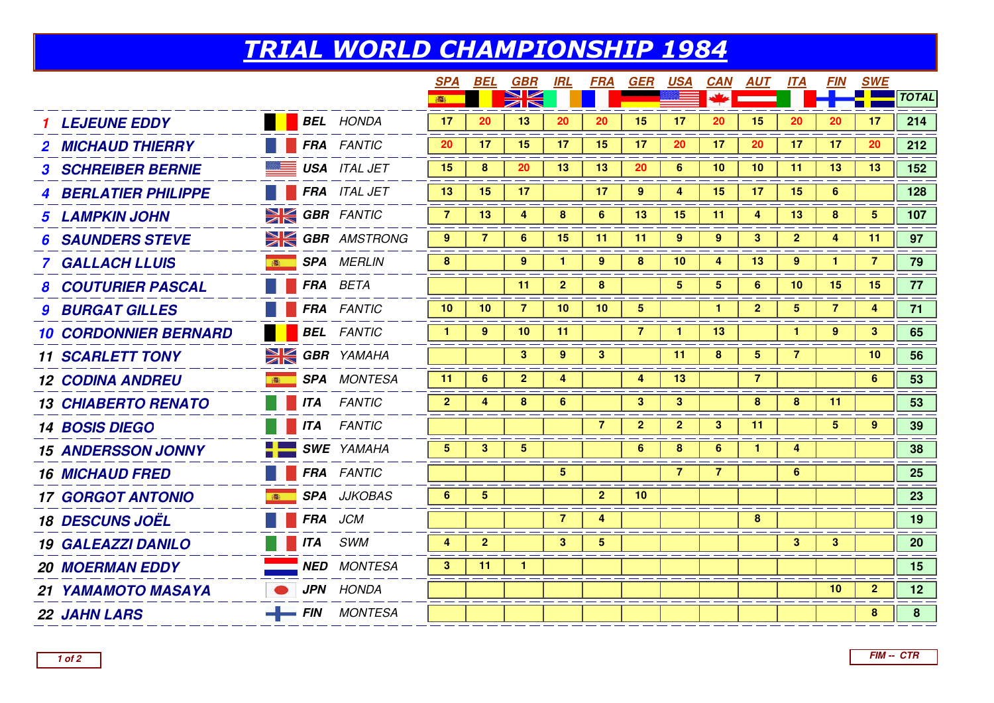## TRIAL WORLD CHAMPIONSHIP 1984

|                              |                |                        | <b>SPA</b>     | BEL            | GBR            | <u>IRL</u>      | FRA            | <b>GER</b>              | <b>USA</b>     | <b>CAN</b>      | <u>AUT</u>      | <u> ІТА</u>     | <b>FIN</b>     | <u>SWE</u>     |                 |
|------------------------------|----------------|------------------------|----------------|----------------|----------------|-----------------|----------------|-------------------------|----------------|-----------------|-----------------|-----------------|----------------|----------------|-----------------|
|                              |                |                        |                |                |                |                 |                |                         |                |                 |                 |                 |                |                | <b>TOTAL</b>    |
| <b>LEJEUNE EDDY</b>          |                | <b>BEL</b> HONDA       | 17             | 20             | 13             | 20              | 20             | 15                      | 17             | 20              | 15              | 20              | 20             | 17             | 214             |
| <b>2 MICHAUD THIERRY</b>     |                | <b>FRA</b> FANTIC      | 20             | 17             | 15             | 17              | 15             | 17                      | 20             | 17              | 20              | 17              | 17             | 20             | 212             |
| <b>3 SCHREIBER BERNIE</b>    |                | <b>USA</b> ITAL JET    | 15             | 8              | 20             | 13              | 13             | 20                      | $6\phantom{1}$ | 10              | 10              | 11              | 13             | 13             | 152             |
| <b>4 BERLATIER PHILIPPE</b>  |                | FRA ITAL JET           | 13             | 15             | 17             |                 | 17             | 9                       | 4              | 15              | 17              | 15              | 6              |                | 128             |
| <b>5 LAMPKIN JOHN</b>        |                | <b>SK GBR</b> FANTIC   | $\overline{7}$ | 13             | 4              | 8               | 6              | 13                      | 15             | 11              | 4               | 13              | 8              | 5              | 107             |
| <b>SAUNDERS STEVE</b>        |                | <b>SK GBR</b> AMSTRONG | 9              | $\overline{7}$ | 6              | 15              | 11             | 11                      | $9^{\circ}$    | 9               | $\mathbf{3}$    | $\overline{2}$  | 4              | 11             | 97              |
| <b>7 GALLACH LLUIS</b>       |                | <b>SPA</b> MERLIN      | 8              |                | 9              |                 | 9              | 8                       | 10             | 4               | 13              | 9               | $\mathbf{1}$   | 7              | 79              |
| <b>8 COUTURIER PASCAL</b>    |                | FRA BETA               |                |                | 11             | $\mathbf{2}$    | 8              |                         | 5              | $5\overline{)}$ | 6               | 10 <sup>1</sup> | 15             | 15             | 77              |
| <b>9 BURGAT GILLES</b>       |                | <b>FRA</b> FANTIC      | 10             | 10             | $\overline{7}$ | 10              | 10             | $\overline{\mathbf{5}}$ |                | $\mathbf{1}$    | $\overline{2}$  | 5 <sup>1</sup>  | $\overline{7}$ | 4              | 71              |
| <b>10 CORDONNIER BERNARD</b> |                | <b>BEL</b> FANTIC      | $\mathbf{1}$   | 9              | 10             | 11              |                | $\overline{7}$          | $\mathbf{1}$   | 13              |                 | $\mathbf{1}$    | 9              | 3              | 65              |
| <b>11 SCARLETT TONY</b>      |                | <b>SIGBR</b> YAMAHA    |                |                | 3              | 9               | 3 <sup>1</sup> |                         | 11             | 8               | $5\phantom{.0}$ | 7               |                | 10             | 56              |
| <b>12 CODINA ANDREU</b>      |                | <b>SPA</b> MONTESA     | 11             | 6              | $\mathbf{2}$   | 4               |                | 4                       | 13             |                 | $\overline{7}$  |                 |                | 6              | 53              |
| <b>13 CHIABERTO RENATO</b>   | <b>ITA</b>     | <b>FANTIC</b>          | $\mathbf{2}$   | 4              | 8              | 6               |                | $\mathbf{3}$            | 3              |                 | 8               | 8               | 11             |                | 53              |
| <b>14 BOSIS DIEGO</b>        |                | <b>ITA</b> FANTIC      |                |                |                |                 | $\overline{7}$ | $\overline{2}$          | $\overline{2}$ | 3               | 11              |                 | $5^{\circ}$    | 9              | 39              |
| <b>15 ANDERSSON JONNY</b>    |                | <b>SWE</b> YAMAHA      | 5 <sup>5</sup> | 3 <sup>1</sup> | $5^{\circ}$    |                 |                | 6                       | 8              | 6               | $\mathbf{1}$    | 4               |                |                | 38              |
| <b>16 MICHAUD FRED</b>       |                | <b>FRA</b> FANTIC      |                |                |                | $5\phantom{.0}$ |                |                         | $\overline{7}$ | $\overline{7}$  |                 | 6 <sup>1</sup>  |                |                | 25              |
| <b>17 GORGOT ANTONIO</b>     |                | <b>SPA</b> JJKOBAS     | 6              | 5              |                |                 | $\mathbf{2}$   | 10                      |                |                 |                 |                 |                |                | 23              |
| <b>18 DESCUNS JOËL</b>       | <b>FRA</b> JCM |                        |                |                |                | $\overline{7}$  | 4              |                         |                |                 | 8               |                 |                |                | 19              |
| <b>19 GALEAZZI DANILO</b>    |                | <b>ITA</b> SWM         | 4              | $\mathbf{2}$   |                | 3               | 5 <sup>1</sup> |                         |                |                 |                 | $\mathbf{3}$    | 3              |                | <b>20</b>       |
| <b>20 MOERMAN EDDY</b>       |                | <b>NED</b> MONTESA     | 3 <sup>1</sup> | 11             | 1              |                 |                |                         |                |                 |                 |                 |                |                | 15              |
| 21 YAMAMOTO MASAYA           |                | <b>JPN</b> HONDA       |                |                |                |                 |                |                         |                |                 |                 |                 | 10             | $\overline{2}$ | 12 <sup>7</sup> |
| <b>22 JAHN LARS</b>          |                | $-$ FIN MONTESA        |                |                |                |                 |                |                         |                |                 |                 |                 |                | 8              | 8 <sup>1</sup>  |